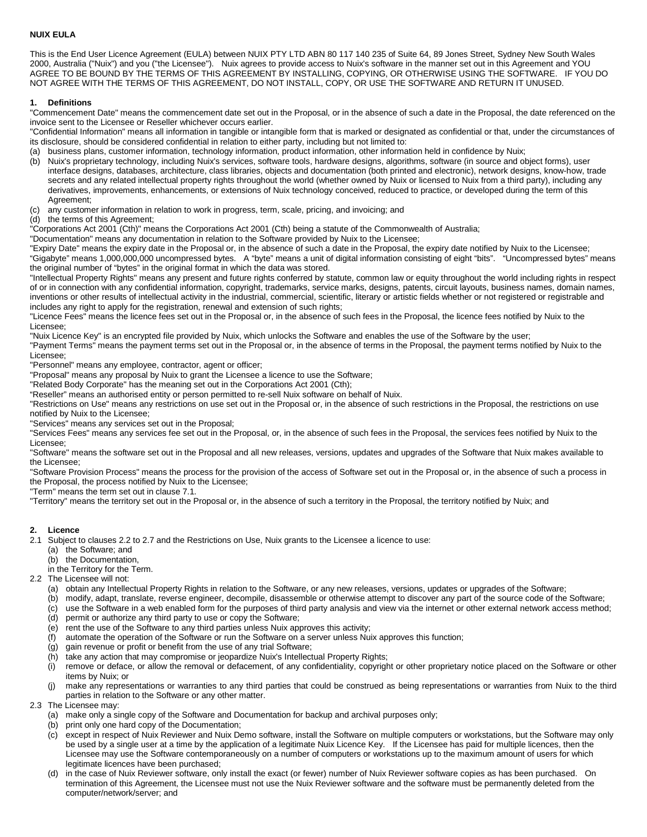# **NUIX EULA**

This is the End User Licence Agreement (EULA) between NUIX PTY LTD ABN 80 117 140 235 of Suite 64, 89 Jones Street, Sydney New South Wales 2000, Australia ("Nuix") and you ("the Licensee"). Nuix agrees to provide access to Nuix's software in the manner set out in this Agreement and YOU AGREE TO BE BOUND BY THE TERMS OF THIS AGREEMENT BY INSTALLING, COPYING, OR OTHERWISE USING THE SOFTWARE. IF YOU DO NOT AGREE WITH THE TERMS OF THIS AGREEMENT, DO NOT INSTALL, COPY, OR USE THE SOFTWARE AND RETURN IT UNUSED.

## **1. Definitions**

"Commencement Date" means the commencement date set out in the Proposal, or in the absence of such a date in the Proposal, the date referenced on the invoice sent to the Licensee or Reseller whichever occurs earlier.

"Confidential Information" means all information in tangible or intangible form that is marked or designated as confidential or that, under the circumstances of its disclosure, should be considered confidential in relation to either party, including but not limited to:

(a) business plans, customer information, technology information, product information, other information held in confidence by Nuix;

- (b) Nuix's proprietary technology, including Nuix's services, software tools, hardware designs, algorithms, software (in source and object forms), user interface designs, databases, architecture, class libraries, objects and documentation (both printed and electronic), network designs, know-how, trade secrets and any related intellectual property rights throughout the world (whether owned by Nuix or licensed to Nuix from a third party), including any derivatives, improvements, enhancements, or extensions of Nuix technology conceived, reduced to practice, or developed during the term of this Agreement;
- (c) any customer information in relation to work in progress, term, scale, pricing, and invoicing; and
- (d) the terms of this Agreement;

"Corporations Act 2001 (Cth)" means the Corporations Act 2001 (Cth) being a statute of the Commonwealth of Australia;

"Documentation" means any documentation in relation to the Software provided by Nuix to the Licensee;

"Expiry Date" means the expiry date in the Proposal or, in the absence of such a date in the Proposal, the expiry date notified by Nuix to the Licensee; "Gigabyte" means 1,000,000,000 uncompressed bytes. A "byte" means a unit of digital information consisting of eight "bits". "Uncompressed bytes" means the original number of "bytes" in the original format in which the data was stored.

"Intellectual Property Rights" means any present and future rights conferred by statute, common law or equity throughout the world including rights in respect of or in connection with any confidential information, copyright, trademarks, service marks, designs, patents, circuit layouts, business names, domain names, inventions or other results of intellectual activity in the industrial, commercial, scientific, literary or artistic fields whether or not registered or registrable and includes any right to apply for the registration, renewal and extension of such rights;

"Licence Fees" means the licence fees set out in the Proposal or, in the absence of such fees in the Proposal, the licence fees notified by Nuix to the Licensee;

"Nuix Licence Key" is an encrypted file provided by Nuix, which unlocks the Software and enables the use of the Software by the user;

"Payment Terms" means the payment terms set out in the Proposal or, in the absence of terms in the Proposal, the payment terms notified by Nuix to the Licensee;

"Personnel" means any employee, contractor, agent or officer;

"Proposal" means any proposal by Nuix to grant the Licensee a licence to use the Software;

"Related Body Corporate" has the meaning set out in the Corporations Act 2001 (Cth);

"Reseller" means an authorised entity or person permitted to re-sell Nuix software on behalf of Nuix.

"Restrictions on Use" means any restrictions on use set out in the Proposal or, in the absence of such restrictions in the Proposal, the restrictions on use notified by Nuix to the Licensee;

"Services" means any services set out in the Proposal;

"Services Fees" means any services fee set out in the Proposal, or, in the absence of such fees in the Proposal, the services fees notified by Nuix to the Licensee;

"Software" means the software set out in the Proposal and all new releases, versions, updates and upgrades of the Software that Nuix makes available to the Licensee;

"Software Provision Process" means the process for the provision of the access of Software set out in the Proposal or, in the absence of such a process in the Proposal, the process notified by Nuix to the Licensee;

"Term" means the term set out in clause 7.1.

"Territory" means the territory set out in the Proposal or, in the absence of such a territory in the Proposal, the territory notified by Nuix; and

## **2. Licence**

2.1 Subject to clauses 2.2 to 2.7 and the Restrictions on Use, Nuix grants to the Licensee a licence to use:

(a) the Software; and

- (b) the Documentation,
- in the Territory for the Term.

2.2 The Licensee will not:

- (a) obtain any Intellectual Property Rights in relation to the Software, or any new releases, versions, updates or upgrades of the Software;
- (b) modify, adapt, translate, reverse engineer, decompile, disassemble or otherwise attempt to discover any part of the source code of the Software;
- (c) use the Software in a web enabled form for the purposes of third party analysis and view via the internet or other external network access method;
- (d) permit or authorize any third party to use or copy the Software;
- (e) rent the use of the Software to any third parties unless Nuix approves this activity;
- (f) automate the operation of the Software or run the Software on a server unless Nuix approves this function;
- (g) gain revenue or profit or benefit from the use of any trial Software;
- (h) take any action that may compromise or jeopardize Nuix's Intellectual Property Rights;<br>(i) remove or deface, or allow the removal or defacement, of any confidentiality, copyrigh
- remove or deface, or allow the removal or defacement, of any confidentiality, copyright or other proprietary notice placed on the Software or other items by Nuix; or
- (j) make any representations or warranties to any third parties that could be construed as being representations or warranties from Nuix to the third parties in relation to the Software or any other matter.
- 2.3 The Licensee may:
	- (a) make only a single copy of the Software and Documentation for backup and archival purposes only;
	- (b) print only one hard copy of the Documentation;
	- (c) except in respect of Nuix Reviewer and Nuix Demo software, install the Software on multiple computers or workstations, but the Software may only be used by a single user at a time by the application of a legitimate Nuix Licence Key. If the Licensee has paid for multiple licences, then the Licensee may use the Software contemporaneously on a number of computers or workstations up to the maximum amount of users for which legitimate licences have been purchased;
	- (d) in the case of Nuix Reviewer software, only install the exact (or fewer) number of Nuix Reviewer software copies as has been purchased. On termination of this Agreement, the Licensee must not use the Nuix Reviewer software and the software must be permanently deleted from the computer/network/server; and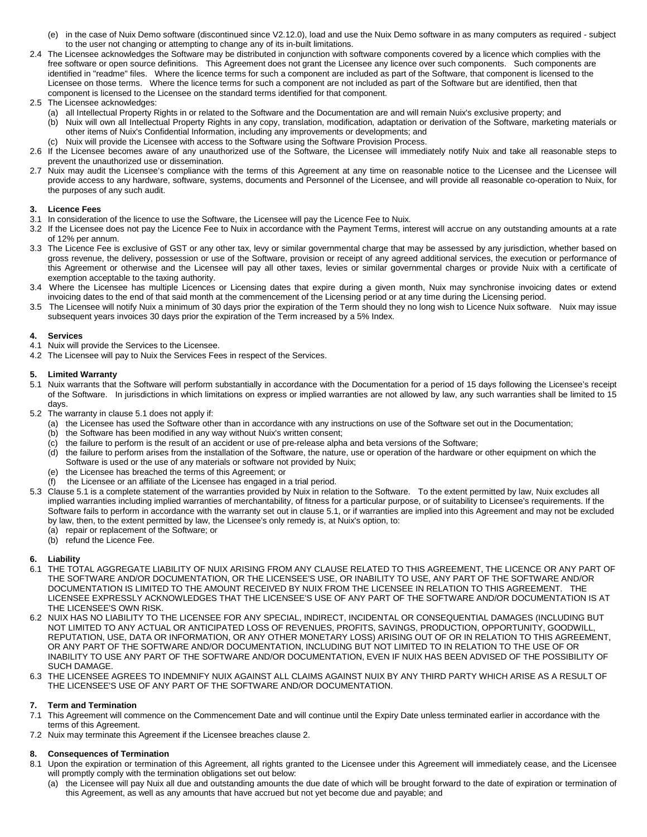- (e) in the case of Nuix Demo software (discontinued since V2.12.0), load and use the Nuix Demo software in as many computers as required subject to the user not changing or attempting to change any of its in-built limitations.
- 2.4 The Licensee acknowledges the Software may be distributed in conjunction with software components covered by a licence which complies with the free software or open source definitions. This Agreement does not grant the Licensee any licence over such components. Such components are identified in "readme" files. Where the licence terms for such a component are included as part of the Software, that component is licensed to the Licensee on those terms. Where the licence terms for such a component are not included as part of the Software but are identified, then that component is licensed to the Licensee on the standard terms identified for that component.
- 2.5 The Licensee acknowledges:
	- (a) all Intellectual Property Rights in or related to the Software and the Documentation are and will remain Nuix's exclusive property; and
	- (b) Nuix will own all Intellectual Property Rights in any copy, translation, modification, adaptation or derivation of the Software, marketing materials or other items of Nuix's Confidential Information, including any improvements or developments; and
	- (c) Nuix will provide the Licensee with access to the Software using the Software Provision Process.
- 2.6 If the Licensee becomes aware of any unauthorized use of the Software, the Licensee will immediately notify Nuix and take all reasonable steps to prevent the unauthorized use or dissemination.
- 2.7 Nuix may audit the Licensee's compliance with the terms of this Agreement at any time on reasonable notice to the Licensee and the Licensee will provide access to any hardware, software, systems, documents and Personnel of the Licensee, and will provide all reasonable co-operation to Nuix, for the purposes of any such audit.

# **3. Licence Fees**

- 3.1 In consideration of the licence to use the Software, the Licensee will pay the Licence Fee to Nuix.
- 3.2 If the Licensee does not pay the Licence Fee to Nuix in accordance with the Payment Terms, interest will accrue on any outstanding amounts at a rate of 12% per annum.
- 3.3 The Licence Fee is exclusive of GST or any other tax, levy or similar governmental charge that may be assessed by any jurisdiction, whether based on gross revenue, the delivery, possession or use of the Software, provision or receipt of any agreed additional services, the execution or performance of this Agreement or otherwise and the Licensee will pay all other taxes, levies or similar governmental charges or provide Nuix with a certificate of exemption acceptable to the taxing authority.
- 3.4 Where the Licensee has multiple Licences or Licensing dates that expire during a given month, Nuix may synchronise invoicing dates or extend invoicing dates to the end of that said month at the commencement of the Licensing period or at any time during the Licensing period.
- 3.5 The Licensee will notify Nuix a minimum of 30 days prior the expiration of the Term should they no long wish to Licence Nuix software. Nuix may issue subsequent years invoices 30 days prior the expiration of the Term increased by a 5% Index.

# **4. Services**

- 4.1 Nuix will provide the Services to the Licensee.
- 4.2 The Licensee will pay to Nuix the Services Fees in respect of the Services.

# **5. Limited Warranty**

- 5.1 Nuix warrants that the Software will perform substantially in accordance with the Documentation for a period of 15 days following the Licensee's receipt of the Software. In jurisdictions in which limitations on express or implied warranties are not allowed by law, any such warranties shall be limited to 15 days.
- 5.2 The warranty in clause 5.1 does not apply if:
	- (a) the Licensee has used the Software other than in accordance with any instructions on use of the Software set out in the Documentation;
	- (b) the Software has been modified in any way without Nuix's written consent;
	- (c) the failure to perform is the result of an accident or use of pre-release alpha and beta versions of the Software;
	- (d) the failure to perform arises from the installation of the Software, the nature, use or operation of the hardware or other equipment on which the Software is used or the use of any materials or software not provided by Nuix;
	- (e) the Licensee has breached the terms of this Agreement; or
	- (f) the Licensee or an affiliate of the Licensee has engaged in a trial period.
- 5.3 Clause 5.1 is a complete statement of the warranties provided by Nuix in relation to the Software. To the extent permitted by law, Nuix excludes all implied warranties including implied warranties of merchantability, of fitness for a particular purpose, or of suitability to Licensee's requirements. If the Software fails to perform in accordance with the warranty set out in clause 5.1, or if warranties are implied into this Agreement and may not be excluded by law, then, to the extent permitted by law, the Licensee's only remedy is, at Nuix's option, to:
	- (a) repair or replacement of the Software; or
	- (b) refund the Licence Fee.

# **6. Liability**

- 6.1 THE TOTAL AGGREGATE LIABILITY OF NUIX ARISING FROM ANY CLAUSE RELATED TO THIS AGREEMENT, THE LICENCE OR ANY PART OF THE SOFTWARE AND/OR DOCUMENTATION, OR THE LICENSEE'S USE, OR INABILITY TO USE, ANY PART OF THE SOFTWARE AND/OR DOCUMENTATION IS LIMITED TO THE AMOUNT RECEIVED BY NUIX FROM THE LICENSEE IN RELATION TO THIS AGREEMENT. THE LICENSEE EXPRESSLY ACKNOWLEDGES THAT THE LICENSEE'S USE OF ANY PART OF THE SOFTWARE AND/OR DOCUMENTATION IS AT THE LICENSEE'S OWN RISK.
- 6.2 NUIX HAS NO LIABILITY TO THE LICENSEE FOR ANY SPECIAL, INDIRECT, INCIDENTAL OR CONSEQUENTIAL DAMAGES (INCLUDING BUT NOT LIMITED TO ANY ACTUAL OR ANTICIPATED LOSS OF REVENUES, PROFITS, SAVINGS, PRODUCTION, OPPORTUNITY, GOODWILL, REPUTATION, USE, DATA OR INFORMATION, OR ANY OTHER MONETARY LOSS) ARISING OUT OF OR IN RELATION TO THIS AGREEMENT, OR ANY PART OF THE SOFTWARE AND/OR DOCUMENTATION, INCLUDING BUT NOT LIMITED TO IN RELATION TO THE USE OF OR INABILITY TO USE ANY PART OF THE SOFTWARE AND/OR DOCUMENTATION, EVEN IF NUIX HAS BEEN ADVISED OF THE POSSIBILITY OF SUCH DAMAGE.
- 6.3 THE LICENSEE AGREES TO INDEMNIFY NUIX AGAINST ALL CLAIMS AGAINST NUIX BY ANY THIRD PARTY WHICH ARISE AS A RESULT OF THE LICENSEE'S USE OF ANY PART OF THE SOFTWARE AND/OR DOCUMENTATION.

### **7. Term and Termination**

- 7.1 This Agreement will commence on the Commencement Date and will continue until the Expiry Date unless terminated earlier in accordance with the terms of this Agreement.
- 7.2 Nuix may terminate this Agreement if the Licensee breaches clause 2.

## **8. Consequences of Termination**

- 8.1 Upon the expiration or termination of this Agreement, all rights granted to the Licensee under this Agreement will immediately cease, and the Licensee will promptly comply with the termination obligations set out below:
	- (a) the Licensee will pay Nuix all due and outstanding amounts the due date of which will be brought forward to the date of expiration or termination of this Agreement, as well as any amounts that have accrued but not yet become due and payable; and